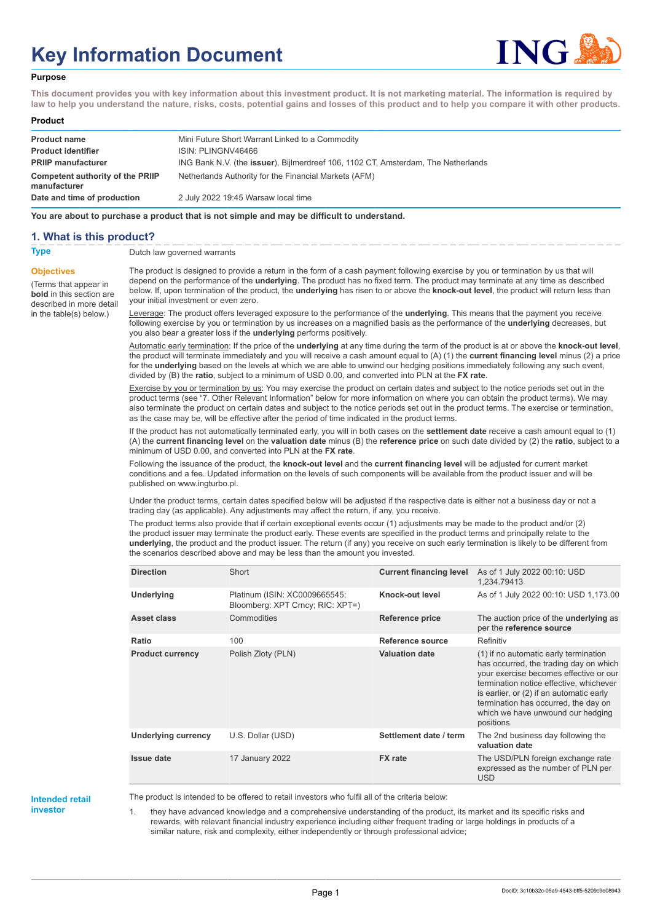# **Key Information Document**



#### **Purpose**

**This document provides you with key information about this investment product. It is not marketing material. The information is required by law to help you understand the nature, risks, costs, potential gains and losses of this product and to help you compare it with other products.**

#### **Product**

| <b>Product name</b><br><b>Product identifier</b> | Mini Future Short Warrant Linked to a Commodity<br>ISIN: PLINGNV46466                     |
|--------------------------------------------------|-------------------------------------------------------------------------------------------|
| <b>PRIIP manufacturer</b>                        | ING Bank N.V. (the <b>issuer</b> ), Bijlmerdreef 106, 1102 CT, Amsterdam, The Netherlands |
| Competent authority of the PRIIP<br>manufacturer | Netherlands Authority for the Financial Markets (AFM)                                     |
| Date and time of production                      | 2 July 2022 19:45 Warsaw local time                                                       |

**You are about to purchase a product that is not simple and may be difficult to understand.**

#### **1. What is this product?**

**Objectives**

(Terms that appear in **bold** in this section are

in the table(s) below.)

**Type** Dutch law governed warrants

described in more detail The product is designed to provide a return in the form of a cash payment following exercise by you or termination by us that will depend on the performance of the **underlying**. The product has no fixed term. The product may terminate at any time as described below. If, upon termination of the product, the **underlying** has risen to or above the **knock-out level**, the product will return less than your initial investment or even zero.

> Leverage: The product offers leveraged exposure to the performance of the **underlying**. This means that the payment you receive following exercise by you or termination by us increases on a magnified basis as the performance of the **underlying** decreases, but you also bear a greater loss if the **underlying** performs positively.

Automatic early termination: If the price of the **underlying** at any time during the term of the product is at or above the **knock-out level**, the product will terminate immediately and you will receive a cash amount equal to (A) (1) the **current financing level** minus (2) a price for the **underlying** based on the levels at which we are able to unwind our hedging positions immediately following any such event, divided by (B) the **ratio**, subject to a minimum of USD 0.00, and converted into PLN at the **FX rate**.

Exercise by you or termination by us: You may exercise the product on certain dates and subject to the notice periods set out in the product terms (see "7. Other Relevant Information" below for more information on where you can obtain the product terms). We may also terminate the product on certain dates and subject to the notice periods set out in the product terms. The exercise or termination, as the case may be, will be effective after the period of time indicated in the product terms.

If the product has not automatically terminated early, you will in both cases on the **settlement date** receive a cash amount equal to (1) (A) the **current financing level** on the **valuation date** minus (B) the **reference price** on such date divided by (2) the **ratio**, subject to a minimum of USD 0.00, and converted into PLN at the **FX rate**.

Following the issuance of the product, the **knock-out level** and the **current financing level** will be adjusted for current market conditions and a fee. Updated information on the levels of such components will be available from the product issuer and will be published on www.ingturbo.pl.

Under the product terms, certain dates specified below will be adjusted if the respective date is either not a business day or not a trading day (as applicable). Any adjustments may affect the return, if any, you receive.

The product terms also provide that if certain exceptional events occur (1) adjustments may be made to the product and/or (2) the product issuer may terminate the product early. These events are specified in the product terms and principally relate to the **underlying**, the product and the product issuer. The return (if any) you receive on such early termination is likely to be different from the scenarios described above and may be less than the amount you invested.

| <b>Direction</b>        | Short                                                             | <b>Current financing level</b> | As of 1 July 2022 00:10: USD<br>1,234.79413                                                                                                                                                                                                                                                                |
|-------------------------|-------------------------------------------------------------------|--------------------------------|------------------------------------------------------------------------------------------------------------------------------------------------------------------------------------------------------------------------------------------------------------------------------------------------------------|
| <b>Underlying</b>       | Platinum (ISIN: XC0009665545;<br>Bloomberg: XPT Crncy; RIC: XPT=) | Knock-out level                | As of 1 July 2022 00:10: USD 1,173.00                                                                                                                                                                                                                                                                      |
| Asset class             | Commodities                                                       | Reference price                | The auction price of the <b>underlying</b> as<br>per the reference source                                                                                                                                                                                                                                  |
| Ratio                   | 100                                                               | Reference source               | Refinitiv                                                                                                                                                                                                                                                                                                  |
| <b>Product currency</b> | Polish Zloty (PLN)                                                | <b>Valuation date</b>          | (1) if no automatic early termination<br>has occurred, the trading day on which<br>your exercise becomes effective or our<br>termination notice effective, whichever<br>is earlier, or (2) if an automatic early<br>termination has occurred, the day on<br>which we have unwound our hedging<br>positions |
| Underlying currency     | U.S. Dollar (USD)                                                 | Settlement date / term         | The 2nd business day following the<br>valuation date                                                                                                                                                                                                                                                       |
| <b>Issue date</b>       | 17 January 2022                                                   | <b>FX</b> rate                 | The USD/PLN foreign exchange rate<br>expressed as the number of PLN per<br><b>USD</b>                                                                                                                                                                                                                      |

# **Intended retail**

**investor**

The product is intended to be offered to retail investors who fulfil all of the criteria below:

1. they have advanced knowledge and a comprehensive understanding of the product, its market and its specific risks and rewards, with relevant financial industry experience including either frequent trading or large holdings in products of a similar nature, risk and complexity, either independently or through professional advice;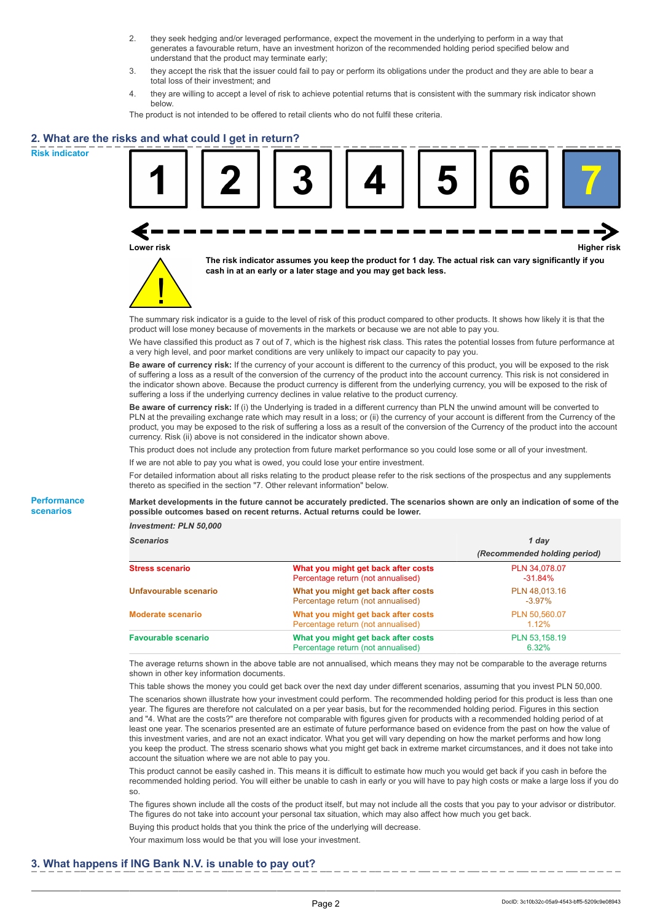- 2. they seek hedging and/or leveraged performance, expect the movement in the underlying to perform in a way that generates a favourable return, have an investment horizon of the recommended holding period specified below and understand that the product may terminate early;
- 3. they accept the risk that the issuer could fail to pay or perform its obligations under the product and they are able to bear a total loss of their investment; and
- 4. they are willing to accept a level of risk to achieve potential returns that is consistent with the summary risk indicator shown below.

The product is not intended to be offered to retail clients who do not fulfil these criteria.

### **2. What are the risks and what could I get in return?**

**Risk indicator**

**Performance scenarios**





**The risk indicator assumes you keep the product for 1 day. The actual risk can vary significantly if you cash in at an early or a later stage and you may get back less.**

The summary risk indicator is a guide to the level of risk of this product compared to other products. It shows how likely it is that the product will lose money because of movements in the markets or because we are not able to pay you.

We have classified this product as 7 out of 7, which is the highest risk class. This rates the potential losses from future performance at a very high level, and poor market conditions are very unlikely to impact our capacity to pay you.

**Be aware of currency risk:** If the currency of your account is different to the currency of this product, you will be exposed to the risk of suffering a loss as a result of the conversion of the currency of the product into the account currency. This risk is not considered in the indicator shown above. Because the product currency is different from the underlying currency, you will be exposed to the risk of suffering a loss if the underlying currency declines in value relative to the product currency.

**Be aware of currency risk:** If (i) the Underlying is traded in a different currency than PLN the unwind amount will be converted to PLN at the prevailing exchange rate which may result in a loss; or (ii) the currency of your account is different from the Currency of the product, you may be exposed to the risk of suffering a loss as a result of the conversion of the Currency of the product into the account currency. Risk (ii) above is not considered in the indicator shown above.

This product does not include any protection from future market performance so you could lose some or all of your investment.

If we are not able to pay you what is owed, you could lose your entire investment.

For detailed information about all risks relating to the product please refer to the risk sections of the prospectus and any supplements thereto as specified in the section "7. Other relevant information" below.

**Market developments in the future cannot be accurately predicted. The scenarios shown are only an indication of some of the possible outcomes based on recent returns. Actual returns could be lower.**

*Investment: PLN 50,000*

| <b>Scenarios</b>           |                                                                           | 1 day                        |  |
|----------------------------|---------------------------------------------------------------------------|------------------------------|--|
|                            |                                                                           | (Recommended holding period) |  |
| Stress scenario            | What you might get back after costs<br>Percentage return (not annualised) | PLN 34,078.07<br>$-31.84\%$  |  |
| Unfavourable scenario      | What you might get back after costs<br>Percentage return (not annualised) | PLN 48.013.16<br>$-3.97\%$   |  |
| <b>Moderate scenario</b>   | What you might get back after costs<br>Percentage return (not annualised) | PLN 50.560.07<br>$1.12\%$    |  |
| <b>Favourable scenario</b> | What you might get back after costs<br>Percentage return (not annualised) | PLN 53,158.19<br>6.32%       |  |

The average returns shown in the above table are not annualised, which means they may not be comparable to the average returns shown in other key information documents.

This table shows the money you could get back over the next day under different scenarios, assuming that you invest PLN 50,000. The scenarios shown illustrate how your investment could perform. The recommended holding period for this product is less than one year. The figures are therefore not calculated on a per year basis, but for the recommended holding period. Figures in this section and "4. What are the costs?" are therefore not comparable with figures given for products with a recommended holding period of at least one year. The scenarios presented are an estimate of future performance based on evidence from the past on how the value of this investment varies, and are not an exact indicator. What you get will vary depending on how the market performs and how long you keep the product. The stress scenario shows what you might get back in extreme market circumstances, and it does not take into account the situation where we are not able to pay you.

This product cannot be easily cashed in. This means it is difficult to estimate how much you would get back if you cash in before the recommended holding period. You will either be unable to cash in early or you will have to pay high costs or make a large loss if you do so.

The figures shown include all the costs of the product itself, but may not include all the costs that you pay to your advisor or distributor. The figures do not take into account your personal tax situation, which may also affect how much you get back.

Buying this product holds that you think the price of the underlying will decrease.

Your maximum loss would be that you will lose your investment.

#### **3. What happens if ING Bank N.V. is unable to pay out?**